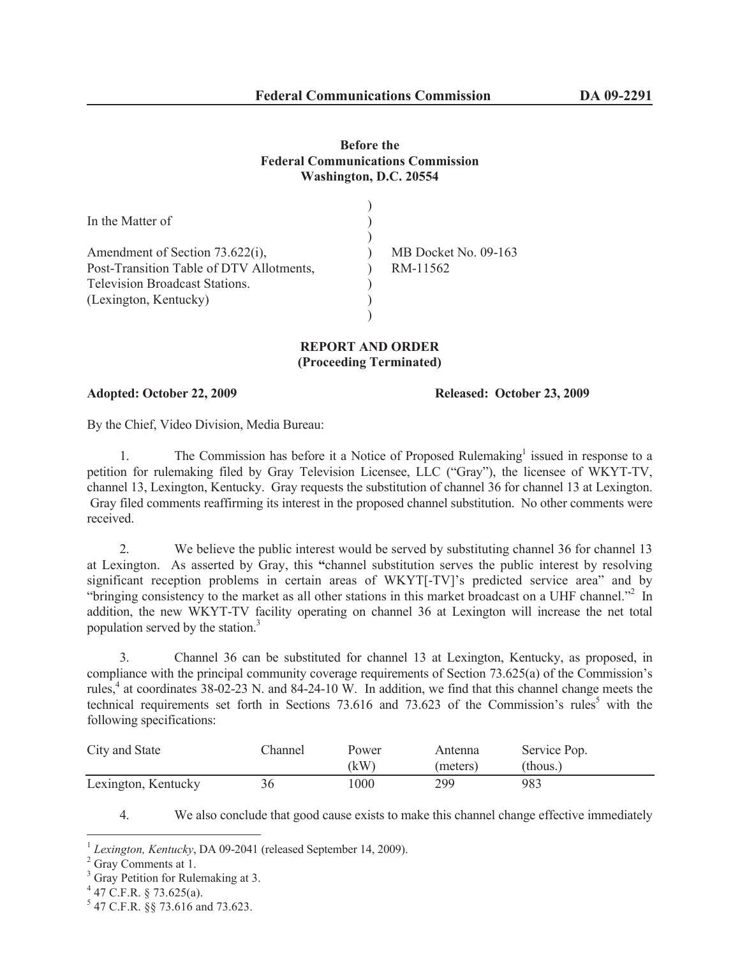## **Before the Federal Communications Commission Washington, D.C. 20554**

| In the Matter of                                                            |                                  |
|-----------------------------------------------------------------------------|----------------------------------|
| Amendment of Section 73.622(i),<br>Post-Transition Table of DTV Allotments, | MB Docket No. 09-163<br>RM-11562 |
| <b>Television Broadcast Stations.</b><br>(Lexington, Kentucky)              |                                  |
|                                                                             |                                  |

## **REPORT AND ORDER (Proceeding Terminated)**

**Adopted: October 22, 2009 Released: October 23, 2009**

By the Chief, Video Division, Media Bureau:

1. The Commission has before it a Notice of Proposed Rulemaking<sup>1</sup> issued in response to a petition for rulemaking filed by Gray Television Licensee, LLC ("Gray"), the licensee of WKYT-TV, channel 13, Lexington, Kentucky. Gray requests the substitution of channel 36 for channel 13 at Lexington. Gray filed comments reaffirming its interest in the proposed channel substitution. No other comments were received.

2. We believe the public interest would be served by substituting channel 36 for channel 13 at Lexington. As asserted by Gray, this **"**channel substitution serves the public interest by resolving significant reception problems in certain areas of WKYT[-TV]'s predicted service area" and by "bringing consistency to the market as all other stations in this market broadcast on a UHF channel."<sup>2</sup> In addition, the new WKYT-TV facility operating on channel 36 at Lexington will increase the net total population served by the station.<sup>3</sup>

3. Channel 36 can be substituted for channel 13 at Lexington, Kentucky, as proposed, in compliance with the principal community coverage requirements of Section 73.625(a) of the Commission's rules, $4$  at coordinates 38-02-23 N. and 84-24-10 W. In addition, we find that this channel change meets the technical requirements set forth in Sections 73.616 and 73.623 of the Commission's rules<sup>5</sup> with the following specifications:

| City and State      | hannel | Power<br>(kW) | Antenna<br>(meters) | Service Pop.<br>(thous.) |
|---------------------|--------|---------------|---------------------|--------------------------|
| Lexington, Kentucky | 36     | 1000          | 299                 | 983                      |

4. We also conclude that good cause exists to make this channel change effective immediately

<sup>1</sup> *Lexington, Kentucky*, DA 09-2041 (released September 14, 2009).

<sup>&</sup>lt;sup>2</sup> Gray Comments at 1.

 $3$  Gray Petition for Rulemaking at 3.

 $4$  47 C.F.R. § 73.625(a).

<sup>5</sup> 47 C.F.R. §§ 73.616 and 73.623.